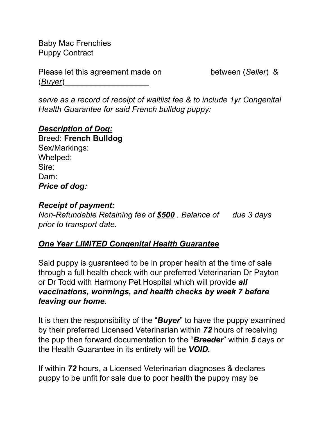Baby Mac Frenchies Puppy Contract

Please let this agreement made on between (*Seller*) & (*Buyer*)\_\_\_\_\_\_\_\_\_\_\_\_\_\_\_\_\_\_\_

*serve as a record of receipt of waitlist fee & to include 1yr Congenital Health Guarantee for said French bulldog puppy:*

### *Description of Dog:*

Breed: **French Bulldog** Sex/Markings: Whelped: Sire: Dam: *Price of dog:*

#### *Receipt of payment:*

*Non-Refundable Retaining fee of \$500 . Balance of due 3 days prior to transport date.*

### *One Year LIMITED Congenital Health Guarantee*

Said puppy is guaranteed to be in proper health at the time of sale through a full health check with our preferred Veterinarian Dr Payton or Dr Todd with Harmony Pet Hospital which will provide *all vaccinations, wormings, and health checks by week 7 before leaving our home.*

It is then the responsibility of the "*Buyer*" to have the puppy examined by their preferred Licensed Veterinarian within *72* hours of receiving the pup then forward documentation to the "*Breeder*" within *5* days or the Health Guarantee in its entirety will be *VOID.*

If within *72* hours, a Licensed Veterinarian diagnoses & declares puppy to be unfit for sale due to poor health the puppy may be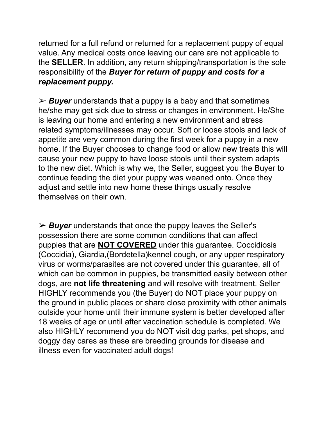returned for a full refund or returned for a replacement puppy of equal value. Any medical costs once leaving our care are not applicable to the **SELLER**. In addition, any return shipping/transportation is the sole responsibility of the *Buyer for return of puppy and costs for a replacement puppy.*

➢ *Buyer* understands that a puppy is a baby and that sometimes he/she may get sick due to stress or changes in environment. He/She is leaving our home and entering a new environment and stress related symptoms/illnesses may occur. Soft or loose stools and lack of appetite are very common during the first week for a puppy in a new home. If the Buyer chooses to change food or allow new treats this will cause your new puppy to have loose stools until their system adapts to the new diet. Which is why we, the Seller, suggest you the Buyer to continue feeding the diet your puppy was weaned onto. Once they adjust and settle into new home these things usually resolve themselves on their own.

➢ *Buyer* understands that once the puppy leaves the Seller's possession there are some common conditions that can affect puppies that are **NOT COVERED** under this guarantee. Coccidiosis (Coccidia), Giardia,(Bordetella)kennel cough, or any upper respiratory virus or worms/parasites are not covered under this guarantee, all of which can be common in puppies, be transmitted easily between other dogs, are **not life threatening** and will resolve with treatment. Seller HIGHLY recommends you (the Buyer) do NOT place your puppy on the ground in public places or share close proximity with other animals outside your home until their immune system is better developed after 18 weeks of age or until after vaccination schedule is completed. We also HIGHLY recommend you do NOT visit dog parks, pet shops, and doggy day cares as these are breeding grounds for disease and illness even for vaccinated adult dogs!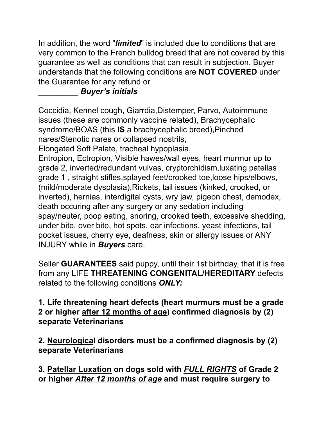In addition, the word "*limited*" is included due to conditions that are very common to the French bulldog breed that are not covered by this guarantee as well as conditions that can result in subjection. Buyer understands that the following conditions are **NOT COVERED** under the Guarantee for any refund or

# **\_\_\_\_\_\_\_\_\_** *Buyer's initials*

Coccidia, Kennel cough, Giarrdia,Distemper, Parvo, Autoimmune issues (these are commonly vaccine related), Brachycephalic syndrome/BOAS (this **IS** a brachycephalic breed),Pinched nares/Stenotic nares or collapsed nostrils, Elongated Soft Palate, tracheal hypoplasia,

Entropion, Ectropion, Visible hawes/wall eyes, heart murmur up to grade 2, inverted/redundant vulvas, cryptorchidism,luxating patellas grade 1 , straight stifles,splayed feet/crooked toe,loose hips/elbows, (mild/moderate dysplasia),Rickets, tail issues (kinked, crooked, or inverted), hernias, interdigital cysts, wry jaw, pigeon chest, demodex, death occuring after any surgery or any sedation including spay/neuter, poop eating, snoring, crooked teeth, excessive shedding, under bite, over bite, hot spots, ear infections, yeast infections, tail pocket issues, cherry eye, deafness, skin or allergy issues or ANY INJURY while in *Buyers* care.

Seller **GUARANTEES** said puppy, until their 1st birthday, that it is free from any LIFE **THREATENING CONGENITAL/HEREDITARY** defects related to the following conditions *ONLY:*

## **1. Life threatening heart defects (heart murmurs must be a grade 2 or higher after 12 months of age) confirmed diagnosis by (2) separate Veterinarians**

**2. Neurological disorders must be a confirmed diagnosis by (2) separate Veterinarians**

**3. Patellar Luxation on dogs sold with** *FULL RIGHTS* **of Grade 2 or higher** *After 12 months of age* **and must require surgery to**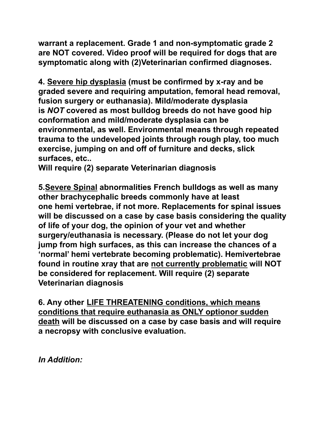**warrant a replacement. Grade 1 and non-symptomatic grade 2 are NOT covered. Video proof will be required for dogs that are symptomatic along with (2)Veterinarian confirmed diagnoses.**

**4. Severe hip dysplasia (must be confirmed by x-ray and be graded severe and requiring amputation, femoral head removal, fusion surgery or euthanasia). Mild/moderate dysplasia is** *NOT* **covered as most bulldog breeds do not have good hip conformation and mild/moderate dysplasia can be environmental, as well. Environmental means through repeated trauma to the undeveloped joints through rough play, too much exercise, jumping on and off of furniture and decks, slick surfaces, etc..**

**Will require (2) separate Veterinarian diagnosis**

**5.Severe Spinal abnormalities French bulldogs as well as many other brachycephalic breeds commonly have at least one hemi vertebrae, if not more. Replacements for spinal issues will be discussed on a case by case basis considering the quality of life of your dog, the opinion of your vet and whether surgery/euthanasia is necessary. (Please do not let your dog jump from high surfaces, as this can increase the chances of a 'normal' hemi vertebrate becoming problematic). Hemivertebrae found in routine xray that are not currently problematic will NOT be considered for replacement. Will require (2) separate Veterinarian diagnosis**

**6. Any other LIFE THREATENING conditions, which means conditions that require euthanasia as ONLY optionor sudden death will be discussed on a case by case basis and will require a necropsy with conclusive evaluation.**

*In Addition:*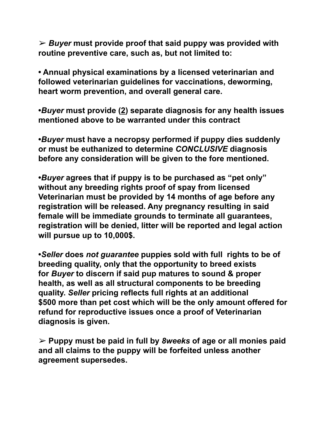➢ *Buyer* **must provide proof that said puppy was provided with routine preventive care, such as, but not limited to:**

**• Annual physical examinations by a licensed veterinarian and followed veterinarian guidelines for vaccinations, deworming, heart worm prevention, and overall general care.**

**•***Buyer* **must provide (2) separate diagnosis for any health issues mentioned above to be warranted under this contract**

**•***Buyer* **must have a necropsy performed if puppy dies suddenly or must be euthanized to determine** *CONCLUSIVE* **diagnosis before any consideration will be given to the fore mentioned.**

**•***Buyer* **agrees that if puppy is to be purchased as "pet only" without any breeding rights proof of spay from licensed Veterinarian must be provided by 14 months of age before any registration will be released. Any pregnancy resulting in said female will be immediate grounds to terminate all guarantees, registration will be denied, litter will be reported and legal action will pursue up to 10,000\$.**

**•***Seller* **does** *not guarantee* **puppies sold with full rights to be of breeding quality, only that the opportunity to breed exists for** *Buyer* **to discern if said pup matures to sound & proper health, as well as all structural components to be breeding quality.** *Seller* **pricing reflects full rights at an additional \$500 more than pet cost which will be the only amount offered for refund for reproductive issues once a proof of Veterinarian diagnosis is given.**

➢ **Puppy must be paid in full by** *8weeks* **of age or all monies paid and all claims to the puppy will be forfeited unless another agreement supersedes.**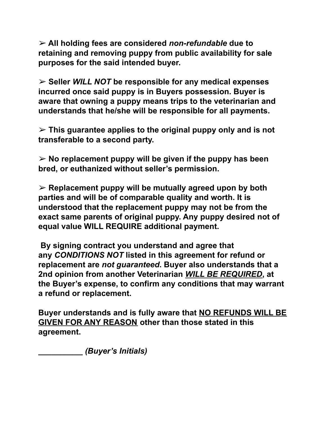➢ **All holding fees are considered** *non-refundable* **due to retaining and removing puppy from public availability for sale purposes for the said intended buyer.**

➢ **Seller** *WILL NOT* **be responsible for any medical expenses incurred once said puppy is in Buyers possession. Buyer is aware that owning a puppy means trips to the veterinarian and understands that he/she will be responsible for all payments.**

➢ **This guarantee applies to the original puppy only and is not transferable to a second party.**

➢ **No replacement puppy will be given if the puppy has been bred, or euthanized without seller's permission.**

➢ **Replacement puppy will be mutually agreed upon by both parties and will be of comparable quality and worth. It is understood that the replacement puppy may not be from the exact same parents of original puppy. Any puppy desired not of equal value WILL REQUIRE additional payment.**

**By signing contract you understand and agree that any** *CONDITIONS NOT* **listed in this agreement for refund or replacement are** *not guaranteed***. Buyer also understands that a 2nd opinion from another Veterinarian** *WILL BE REQUIRED***, at the Buyer's expense, to confirm any conditions that may warrant a refund or replacement.**

**Buyer understands and is fully aware that NO REFUNDS WILL BE GIVEN FOR ANY REASON other than those stated in this agreement.**

**\_\_\_\_\_\_\_\_\_\_** *(Buyer's Initials)*